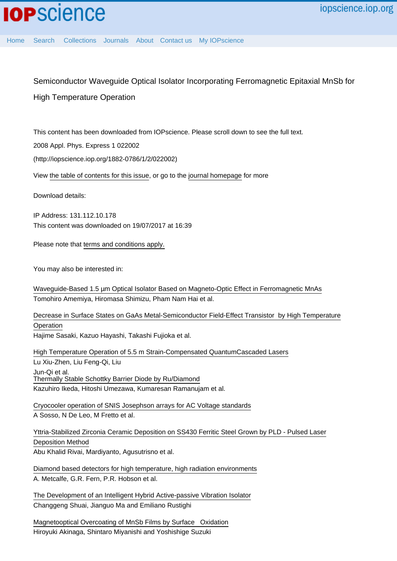## Semiconductor Waveguide Optical Isolator Incorporating Ferromagnetic Epitaxial MnSb for High Temperature Operation

This content has been downloaded from IOPscience. Please scroll down to see the full text.

2008 Appl. Phys. Express 1 022002

(http://iopscience.iop.org/1882-0786/1/2/022002)

View [the table of contents for this issue](http://iopscience.iop.org/1882-0786/1/2), or go to the [journal homepage](http://iopscience.iop.org/1882-0786) for more

Download details:

IP Address: 131.112.10.178 This content was downloaded on 19/07/2017 at 16:39

Please note that [terms and conditions apply.](http://iopscience.iop.org/page/terms)

You may also be interested in:

[Waveguide-Based 1.5 µm Optical Isolator Based on Magneto-Optic Effect in Ferromagnetic MnAs](http://iopscience.iop.org/article/10.1143/JJAP.46.205) Tomohiro Amemiya, Hiromasa Shimizu, Pham Nam Hai et al.

[Decrease in Surface States on GaAs Metal-Semiconductor Field-Effect Transistor by High Temperature](http://iopscience.iop.org/article/10.1143/JJAP.36.2068) **[Operation](http://iopscience.iop.org/article/10.1143/JJAP.36.2068)** 

Hajime Sasaki, Kazuo Hayashi, Takashi Fujioka et al.

[High Temperature Operation of 5.5 m Strain-Compensated QuantumCascaded Lasers](http://iopscience.iop.org/article/10.1088/0256-307X/22/12/026) Lu Xiu-Zhen, Liu Feng-Qi, Liu Jun-Qi et al. [Thermally Stable Schottky Barrier Diode by Ru/Diamond](http://iopscience.iop.org/article/10.1143/APEX.2.011202) Kazuhiro Ikeda, Hitoshi Umezawa, Kumaresan Ramanujam et al.

[Cryocooler operation of SNIS Josephson arrays for AC Voltage standards](http://iopscience.iop.org/article/10.1088/1742-6596/507/4/042040) A Sosso, N De Leo, M Fretto et al.

[Yttria-Stabilized Zirconia Ceramic Deposition on SS430 Ferritic Steel Grown by PLD - Pulsed Laser](http://iopscience.iop.org/article/10.1088/1742-6596/799/1/012016) [Deposition Method](http://iopscience.iop.org/article/10.1088/1742-6596/799/1/012016) Abu Khalid Rivai, Mardiyanto, Agusutrisno et al.

[Diamond based detectors for high temperature, high radiation environments](http://iopscience.iop.org/article/10.1088/1748-0221/12/01/C01066) A. Metcalfe, G.R. Fern, P.R. Hobson et al.

[The Development of an Intelligent Hybrid Active-passive Vibration Isolator](http://iopscience.iop.org/article/10.1088/1742-6596/744/1/012160) Changgeng Shuai, Jianguo Ma and Emiliano Rustighi

[Magnetooptical Overcoating of MnSb Films by Surface Oxidation](http://iopscience.iop.org/article/10.1143/JJAP.35.L897) Hiroyuki Akinaga, Shintaro Miyanishi and Yoshishige Suzuki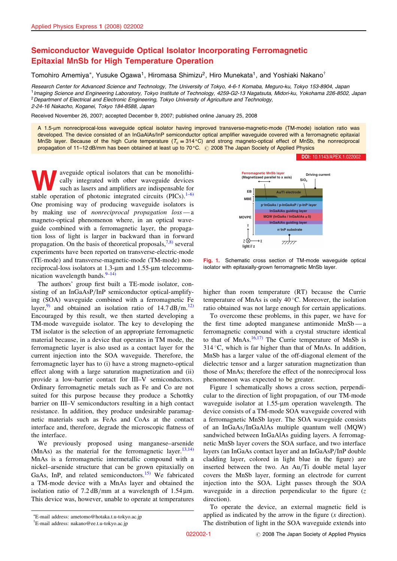## Semiconductor Waveguide Optical Isolator Incorporating Ferromagnetic Epitaxial MnSb for High Temperature Operation

Tomohiro Amemiya\*, Yusuke Ogawa<sup>1</sup>, Hiromasa Shimizu<sup>2</sup>, Hiro Munekata<sup>1</sup>, and Yoshiaki Nakano<sup>†</sup>

Research Center for Advanced Science and Technology, The University of Tokyo, 4-6-1 Komaba, Meguro-ku, Tokyo 153-8904, Japan <sup>1</sup>Imaging Science and Engineering Laboratory, Tokyo Institute of Technology, 4259-G2-13 Nagatsuta, Midori-ku, Yokohama 226-8502, Japan <sup>2</sup> Department of Electrical and Electronic Engineering, Tokyo University of Agriculture and Technology, 2-24-16 Nakacho, Koganei, Tokyo 184-8588, Japan

Received November 26, 2007; accepted December 9, 2007; published online January 25, 2008

A 1.5-µm nonreciprocal-loss waveguide optical isolator having improved transverse-magnetic-mode (TM-mode) isolation ratio was developed. The device consisted of an InGaAlAs/InP semiconductor optical amplifier waveguide covered with a ferromagnetic epitaxial MnSb layer. Because of the high Curie temperature  $(T_c = 314 \text{ °C})$  and strong magneto-optical effect of MnSb, the nonreciprocal propagation of 11–12 dB/mm has been obtained at least up to 70 °C. © 2008 The Japan Society of Applied Physics

**SET ASSEM SET ASSEM SET ASSEMBED ASSEMBLE A** consider that can be monolithi-<br>
such as lasers and amplifiers are indispensable for<br>
stable operation of photonic integrated circuits (PICs)  $\frac{1-6}{2}$ cally integrated with other waveguide devices stable operation of photonic integrated circuits  $(PICs)$ .<sup>[1–6\)](#page-3-0)</sup> One promising way of producing waveguide isolators is by making use of nonreciprocal propagation loss — a magneto-optical phenomenon where, in an optical waveguide combined with a ferromagnetic layer, the propagation loss of light is larger in backward than in forward propagation. On the basis of theoretical proposals,  $7,8$  several experiments have been reported on transverse-electric-mode (TE-mode) and transverse-magnetic-mode (TM-mode) nonreciprocal-loss isolators at  $1.3$ - $\mu$ m and  $1.55$ - $\mu$ m telecommunication wavelength bands. $9-14$ )

The authors' group first built a TE-mode isolator, consisting of an InGaAsP/InP semiconductor optical-amplifying (SOA) waveguide combined with a ferromagnetic Fe layer,<sup>[9\)](#page-3-0)</sup> and obtained an isolation ratio of  $14.7 \text{ dB/m}$ .<sup>[12\)](#page-3-0)</sup> Encouraged by this result, we then started developing a TM-mode waveguide isolator. The key to developing the TM isolator is the selection of an appropriate ferromagnetic material because, in a device that operates in TM mode, the ferromagnetic layer is also used as a contact layer for the current injection into the SOA waveguide. Therefore, the ferromagnetic layer has to (i) have a strong magneto-optical effect along with a large saturation magnetization and (ii) provide a low-barrier contact for III–V semiconductors. Ordinary ferromagnetic metals such as Fe and Co are not suited for this purpose because they produce a Schottky barrier on III–V semiconductors resulting in a high contact resistance. In addition, they produce undesirable paramagnetic materials such as FeAs and CoAs at the contact interface and, therefore, degrade the microscopic flatness of the interface.

We previously proposed using manganese–arsenide (MnAs) as the material for the ferromagnetic layer.<sup>[13,14\)](#page-3-0)</sup> MnAs is a ferromagnetic intermetallic compound with a nickel–arsenide structure that can be grown epitaxially on GaAs, InP, and related semiconductors. $15$  We fabricated a TM-mode device with a MnAs layer and obtained the isolation ratio of  $7.2 \text{ dB/mm}$  at a wavelength of  $1.54 \mu m$ . This device was, however, unable to operate at temperatures



[DOI:](http://dx.doi.org/10.1143/APEX.1.022002) [10.1143/APEX.1.022002](http://dx.doi.org/10.1143/APEX.1.022002)

Fig. 1. Schematic cross section of TM-mode waveguide optical isolator with epitaxially-grown ferromagnetic MnSb layer.

higher than room temperature (RT) because the Currie temperature of MnAs is only  $40^{\circ}$ C. Moreover, the isolation ratio obtained was not large enough for certain applications.

To overcome these problems, in this paper, we have for the first time adopted manganese antimonide MnSb — a ferromagnetic compound with a crystal structure identical to that of  $MnAs$ ,  $16,17$  The Currie temperature of MnSb is  $314^{\circ}$ C, which is far higher than that of MnAs. In addition, MnSb has a larger value of the off-diagonal element of the dielectric tensor and a larger saturation magnetization than those of MnAs; therefore the effect of the nonreciprocal loss phenomenon was expected to be greater.

Figure 1 schematically shows a cross section, perpendicular to the direction of light propagation, of our TM-mode waveguide isolator at 1.55-µm operation wavelength. The device consists of a TM-mode SOA waveguide covered with a ferromagnetic MnSb layer. The SOA waveguide consists of an InGaAs/InGaAlAs multiple quantum well (MQW) sandwiched between InGaAlAs guiding layers. A ferromagnetic MnSb layer covers the SOA surface, and two interface layers (an InGaAs contact layer and an InGaAsP/InP double cladding layer, colored in light blue in the figure) are inserted between the two. An Au/Ti double metal layer covers the MnSb layer, forming an electrode for current injection into the SOA. Light passes through the SOA waveguide in a direction perpendicular to the figure  $(z)$ direction).

To operate the device, an external magnetic field is applied as indicated by the arrow in the figure  $(x$  direction). The distribution of light in the SOA waveguide extends into

E-mail address: ametomo@hotaka.t.u-tokyo.ac.jp

<sup>&</sup>lt;sup>†</sup>E-mail address: nakano@ee.t.u-tokyo.ac.jp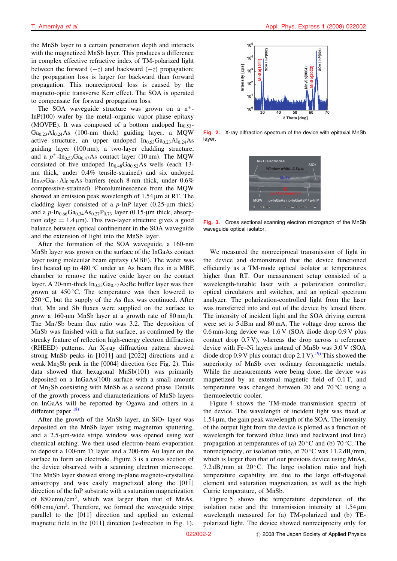the MnSb layer to a certain penetration depth and interacts with the magnetized MnSb layer. This produces a difference in complex effective refractive index of TM-polarized light between the forward  $(+z)$  and backward  $(-z)$  propagation; the propagation loss is larger for backward than forward propagation. This nonreciprocal loss is caused by the magneto-optic transverse Kerr effect. The SOA is operated to compensate for forward propagation loss.

The SOA waveguide structure was grown on a  $n^+$ -In $P(100)$  wafer by the metal–organic vapor phase epitaxy (MOVPE). It was composed of a bottom undoped  $In<sub>0.53</sub>$ - $Ga<sub>0.23</sub>Al<sub>0.24</sub>As$  (100-nm thick) guiding layer, a MQW active structure, an upper undoped  $In<sub>0.53</sub>Ga<sub>0.23</sub>Al<sub>0.24</sub>As$ guiding layer (100 nm), a two-layer cladding structure, and a  $p^+$ -In<sub>0.53</sub>Ga<sub>0.47</sub>As contact layer (10 nm). The MQW consisted of five undoped  $In<sub>0.48</sub>Ga<sub>0.52</sub>As$  wells (each 13nm thick, under 0.4% tensile-strained) and six undoped  $In<sub>0.62</sub>Ga<sub>0.1</sub>Al<sub>0.28</sub>As barriers (each 8-nm thick, under 0.6%$ compressive-strained). Photoluminescence from the MQW showed an emission peak wavelength of 1.54 um at RT. The cladding layer consisted of a  $p$ -InP layer (0.25-µm thick) and a  $p$ -In<sub>0.66</sub>Ga<sub>0.34</sub>As<sub>0.27</sub>P<sub>0.73</sub> layer (0.15-µm thick, absorption edge  $= 1.4 \,\text{\mu m}$ . This two-layer structure gives a good balance between optical confinement in the SOA waveguide and the extension of light into the MnSb layer.

After the formation of the SOA waveguide, a 160-nm MnSb layer was grown on the surface of the InGaAs contact layer using molecular beam epitaxy (MBE). The wafer was first heated up to  $480^{\circ}$ C under an As beam flux in a MBE chamber to remove the native oxide layer on the contact layer. A 20-nm-thick  $In<sub>0.53</sub>Ga<sub>0.47</sub>As:Be buffer layer was then$ grown at  $450^{\circ}$ C. The temperature was then lowered to  $250^{\circ}$ C, but the supply of the As flux was continued. After that, Mn and Sb fluxes were supplied on the surface to grow a 160-nm MnSb layer at a growth rate of 80 nm/h. The Mn/Sb beam flux ratio was 3.2. The deposition of MnSb was finished with a flat surface, as confirmed by the streaky feature of reflection high-energy electron diffraction (RHEED) patterns. An X-ray diffraction pattern showed strong MnSb peaks in [1011] and [2022] directions and a weak  $Mn_2Sb$  peak in the [0004] direction (see Fig. 2). This data showed that hexagonal MnSb(101) was primarily deposited on a InGaAs(100) surface with a small amount of Mn2Sb coexisting with MnSb as a second phase. Details of the growth process and characterizations of MnSb layers on InGaAs will be reported by Ogawa and others in a different paper. $18$ )

After the growth of the MnSb layer, an  $SiO<sub>2</sub>$  layer was deposited on the MnSb layer using magnetron sputtering, and a 2.5-m-wide stripe window was opened using wet chemical etching. We then used electron-beam evaporation to deposit a 100-nm Ti layer and a 200-nm Au layer on the surface to form an electrode. Figure 3 is a cross section of the device observed with a scanning electron microscope. The MnSb layer showed strong in-plane magneto-crystalline anisotropy and was easily magnetized along the [011] direction of the InP substrate with a saturation magnetization of  $850 \text{emu/cm}^3$ , which was larger than that of MnAs,  $600 \text{emu/cm}^3$ . Therefore, we formed the waveguide stripe parallel to the [011] direction and applied an external magnetic field in the  $[011]$  direction (x-direction in Fig. 1).



Fig. 2. X-ray diffraction spectrum of the device with epitaxial MnSb layer.



Fig. 3. Cross sectional scanning electron micrograph of the MnSb waveguide optical isolator.

We measured the nonreciprocal transmission of light in the device and demonstrated that the device functioned efficiently as a TM-mode optical isolator at temperatures higher than RT. Our measurement setup consisted of a wavelength-tunable laser with a polarization controller, optical circulators and switches, and an optical spectrum analyzer. The polarization-controlled light from the laser was transferred into and out of the device by lensed fibers. The intensity of incident light and the SOA driving current were set to 5 dBm and 80 mA. The voltage drop across the 0.6 mm-long device was 1.6 V (SOA diode drop 0.9 V plus contact drop 0.7 V), whereas the drop across a reference device with Fe–Ni layers instead of MnSb was 3.0 V (SOA diode drop  $0.9$  V plus contact drop  $2.1$  V).<sup>19</sup> This showed the superiority of MnSb over ordinary ferromagnetic metals. While the measurements were being done, the device was magnetized by an external magnetic field of 0.1 T, and temperature was changed between 20 and  $70^{\circ}$ C using a thermoelectric cooler.

Figure 4 shows the TM-mode transmission spectra of the device. The wavelength of incident light was fixed at  $1.54 \,\mu$ m, the gain peak wavelength of the SOA. The intensity of the output light from the device is plotted as a function of wavelength for forward (blue line) and backward (red line) propagation at temperatures of (a)  $20^{\circ}$ C and (b)  $70^{\circ}$ C. The nonreciprocity, or isolation ratio, at  $70^{\circ}$ C was  $11.2 \text{ dB/mm}$ , which is larger than that of our previous device using MnAs, 7.2 dB/mm at 20 $\degree$ C. The large isolation ratio and high temperature capability are due to the large off-diagonal element and saturation magnetization, as well as the high Currie temperature, of MnSb.

Figure 5 shows the temperature dependence of the isolation ratio and the transmission intensity at 1.54 um wavelength measured for (a) TM-polarized and (b) TEpolarized light. The device showed nonreciprocity only for